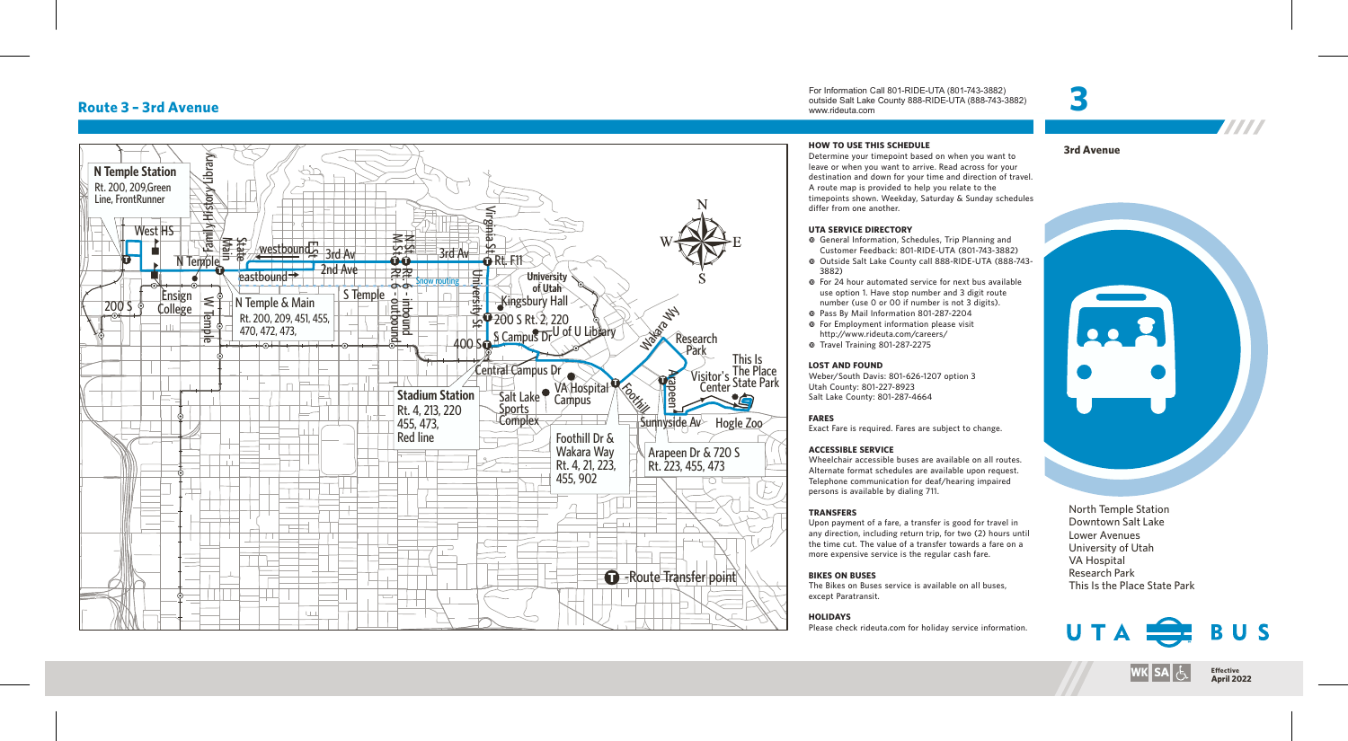## **Route 3 – 3rd Avenue**



For Information Call 801-RIDE-UTA (801-743-3882) outside Salt Lake County 888-RIDE-UTA (888-743-3882) www.rideuta.com

# **3**

**3rd Avenue**



### **HOW TO USE THIS SCHEDULE**

Determine your timepoint based on when you want to leave or when you want to arrive. Read across for your destination and down for your time and direction of travel. A route map is provided to help you relate to the timepoints shown. Weekday, Saturday & Sunday schedules differ from one another.

### **UTA SERVICE DIRECTORY**

• General Information, Schedules, Trip Planning and Customer Feedback: 801-RIDE-UTA (801-743-3882)

- Outside Salt Lake County call 888-RIDE-UTA (888-743- 3882)
- For 24 hour automated service for next bus available use option 1. Have stop number and 3 digit route number (use 0 or 00 if number is not 3 digits).
- Pass By Mail Information 801-287-2204 • For Employment information please visit
- http://www.rideuta.com/careers/ • Travel Training 801-287-2275

### **LOST AND FOUND**

Weber/South Davis: 801-626-1207 option 3 Utah County: 801-227-8923 Salt Lake County: 801-287-4664

### **FARES**

Exact Fare is required. Fares are subject to change.

### **ACCESSIBLE SERVICE**

Wheelchair accessible buses are available on all routes. Alternate format schedules are available upon request. Telephone communication for deaf/hearing impaired persons is available by dialing 711.

### **TRANSFERS**

Upon payment of a fare, a transfer is good for travel in any direction, including return trip, for two (2) hours until the time cut. The value of a transfer towards a fare on a more expensive service is the regular cash fare.

### **BIKES ON BUSES**

The Bikes on Buses service is available on all buses, except Paratransit.

### **HOLIDAYS**

Please check rideuta.com for holiday service information.

# North Temple Station Downtown Salt Lake Lower Avenues

322

University of Utah VA Hospital Research Park This Is the Place State Park